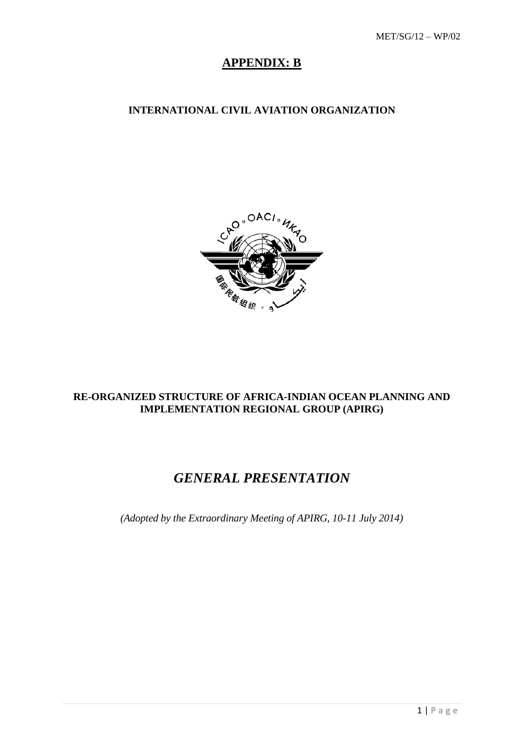## **APPENDIX: B**

## **INTERNATIONAL CIVIL AVIATION ORGANIZATION**



## **RE-ORGANIZED STRUCTURE OF AFRICA-INDIAN OCEAN PLANNING AND IMPLEMENTATION REGIONAL GROUP (APIRG)**

# *GENERAL PRESENTATION*

*(Adopted by the Extraordinary Meeting of APIRG, 10-11 July 2014)*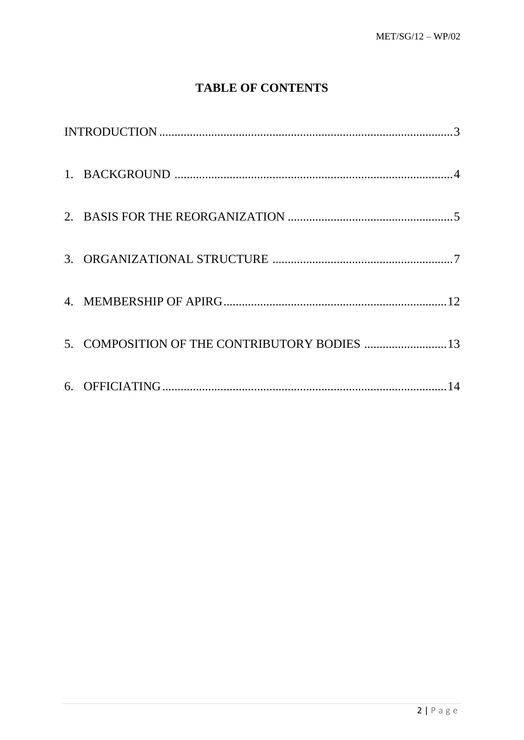# **TABLE OF CONTENTS**

|  | 5. COMPOSITION OF THE CONTRIBUTORY BODIES  13 |  |
|--|-----------------------------------------------|--|
|  |                                               |  |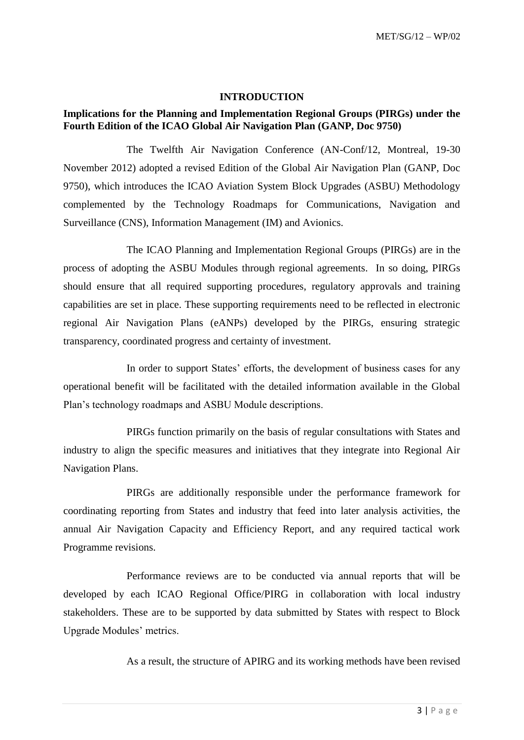MET/SG/12 – WP/02

#### **INTRODUCTION**

### <span id="page-2-0"></span>**Implications for the Planning and Implementation Regional Groups (PIRGs) under the Fourth Edition of the ICAO Global Air Navigation Plan (GANP, Doc 9750)**

 The Twelfth Air Navigation Conference (AN-Conf/12, Montreal, 19-30 November 2012) adopted a revised Edition of the Global Air Navigation Plan (GANP, Doc 9750), which introduces the ICAO Aviation System Block Upgrades (ASBU) Methodology complemented by the Technology Roadmaps for Communications, Navigation and Surveillance (CNS), Information Management (IM) and Avionics.

 The ICAO Planning and Implementation Regional Groups (PIRGs) are in the process of adopting the ASBU Modules through regional agreements. In so doing, PIRGs should ensure that all required supporting procedures, regulatory approvals and training capabilities are set in place. These supporting requirements need to be reflected in electronic regional Air Navigation Plans (eANPs) developed by the PIRGs, ensuring strategic transparency, coordinated progress and certainty of investment.

 In order to support States' efforts, the development of business cases for any operational benefit will be facilitated with the detailed information available in the Global Plan's technology roadmaps and ASBU Module descriptions.

PIRGs function primarily on the basis of regular consultations with States and industry to align the specific measures and initiatives that they integrate into Regional Air Navigation Plans.

PIRGs are additionally responsible under the performance framework for coordinating reporting from States and industry that feed into later analysis activities, the annual Air Navigation Capacity and Efficiency Report, and any required tactical work Programme revisions.

Performance reviews are to be conducted via annual reports that will be developed by each ICAO Regional Office/PIRG in collaboration with local industry stakeholders. These are to be supported by data submitted by States with respect to Block Upgrade Modules' metrics.

As a result, the structure of APIRG and its working methods have been revised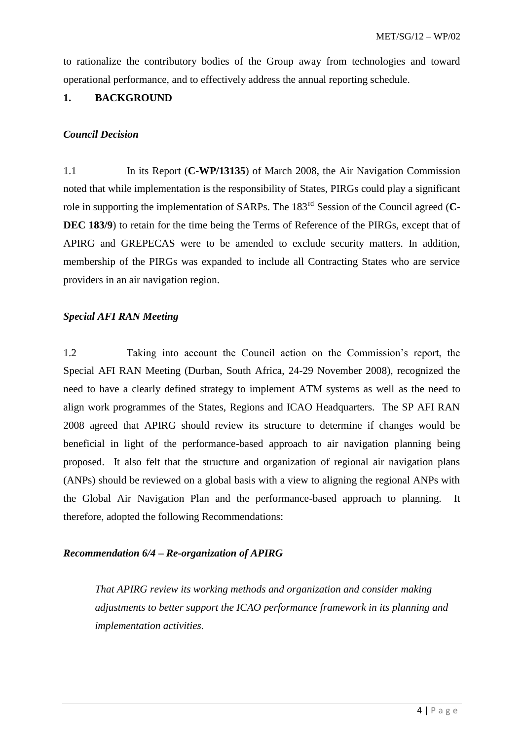to rationalize the contributory bodies of the Group away from technologies and toward operational performance, and to effectively address the annual reporting schedule.

#### <span id="page-3-0"></span>**1. BACKGROUND**

#### *Council Decision*

1.1 In its Report (**C-WP/13135**) of March 2008, the Air Navigation Commission noted that while implementation is the responsibility of States, PIRGs could play a significant role in supporting the implementation of SARPs. The 183<sup>rd</sup> Session of the Council agreed (C-**DEC 183/9**) to retain for the time being the Terms of Reference of the PIRGs, except that of APIRG and GREPECAS were to be amended to exclude security matters. In addition, membership of the PIRGs was expanded to include all Contracting States who are service providers in an air navigation region.

#### *Special AFI RAN Meeting*

1.2 Taking into account the Council action on the Commission's report, the Special AFI RAN Meeting (Durban, South Africa, 24-29 November 2008), recognized the need to have a clearly defined strategy to implement ATM systems as well as the need to align work programmes of the States, Regions and ICAO Headquarters. The SP AFI RAN 2008 agreed that APIRG should review its structure to determine if changes would be beneficial in light of the performance-based approach to air navigation planning being proposed. It also felt that the structure and organization of regional air navigation plans (ANPs) should be reviewed on a global basis with a view to aligning the regional ANPs with the Global Air Navigation Plan and the performance-based approach to planning. It therefore, adopted the following Recommendations:

#### *Recommendation 6/4 – Re-organization of APIRG*

*That APIRG review its working methods and organization and consider making adjustments to better support the ICAO performance framework in its planning and implementation activities.*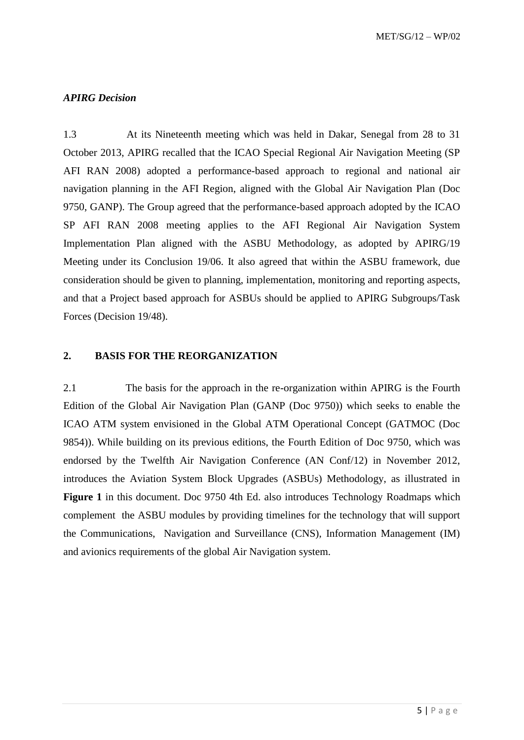### *APIRG Decision*

1.3 At its Nineteenth meeting which was held in Dakar, Senegal from 28 to 31 October 2013, APIRG recalled that the ICAO Special Regional Air Navigation Meeting (SP AFI RAN 2008) adopted a performance-based approach to regional and national air navigation planning in the AFI Region, aligned with the Global Air Navigation Plan (Doc 9750, GANP). The Group agreed that the performance-based approach adopted by the ICAO SP AFI RAN 2008 meeting applies to the AFI Regional Air Navigation System Implementation Plan aligned with the ASBU Methodology, as adopted by APIRG/19 Meeting under its Conclusion 19/06. It also agreed that within the ASBU framework, due consideration should be given to planning, implementation, monitoring and reporting aspects, and that a Project based approach for ASBUs should be applied to APIRG Subgroups/Task Forces (Decision 19/48).

### <span id="page-4-0"></span>**2. BASIS FOR THE REORGANIZATION**

2.1 The basis for the approach in the re-organization within APIRG is the Fourth Edition of the Global Air Navigation Plan (GANP (Doc 9750)) which seeks to enable the ICAO ATM system envisioned in the Global ATM Operational Concept (GATMOC (Doc 9854)). While building on its previous editions, the Fourth Edition of Doc 9750, which was endorsed by the Twelfth Air Navigation Conference (AN Conf/12) in November 2012, introduces the Aviation System Block Upgrades (ASBUs) Methodology, as illustrated in Figure 1 in this document. Doc 9750 4th Ed. also introduces Technology Roadmaps which complement the ASBU modules by providing timelines for the technology that will support the Communications, Navigation and Surveillance (CNS), Information Management (IM) and avionics requirements of the global Air Navigation system.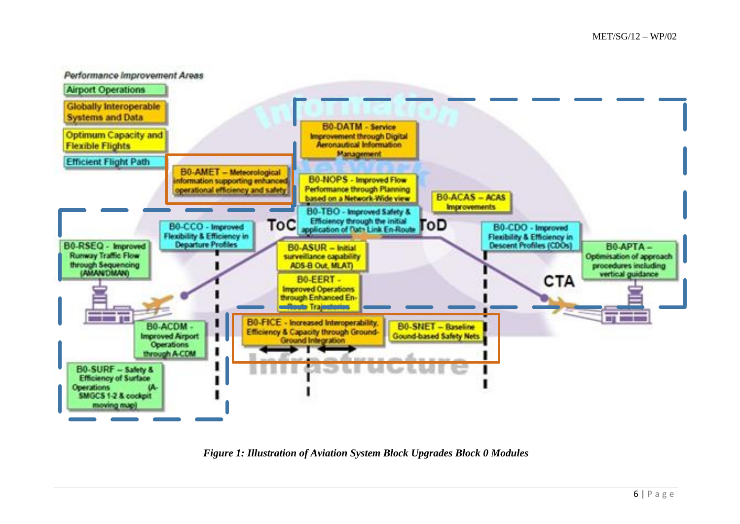

*Figure 1: Illustration of Aviation System Block Upgrades Block 0 Modules*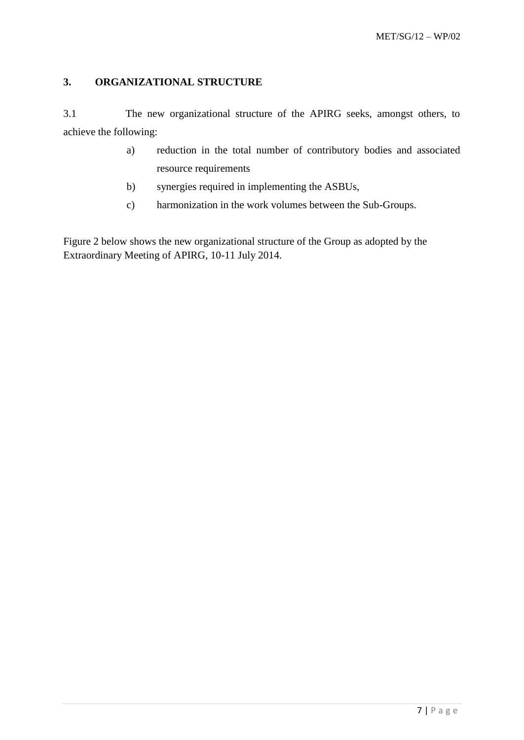## <span id="page-6-0"></span>**3. ORGANIZATIONAL STRUCTURE**

3.1 The new organizational structure of the APIRG seeks, amongst others, to achieve the following:

- a) reduction in the total number of contributory bodies and associated resource requirements
- b) synergies required in implementing the ASBUs,
- c) harmonization in the work volumes between the Sub-Groups.

Figure 2 below shows the new organizational structure of the Group as adopted by the Extraordinary Meeting of APIRG, 10-11 July 2014.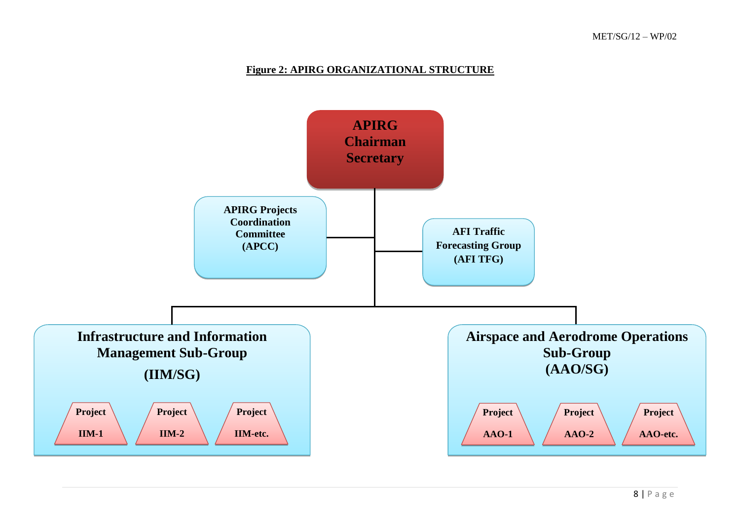#### <sup>U</sup>**Figure 2: APIRG ORGANIZATIONAL STRUCTURE**

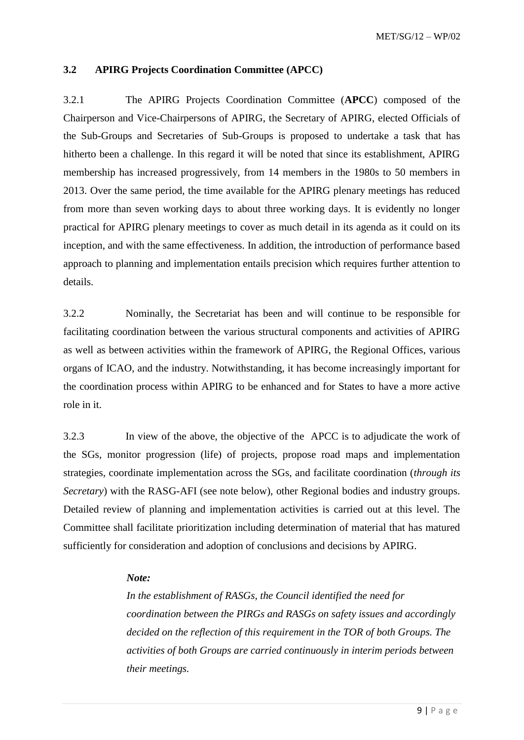#### **3.2 APIRG Projects Coordination Committee (APCC)**

3.2.1 The APIRG Projects Coordination Committee (**APCC**) composed of the Chairperson and Vice-Chairpersons of APIRG, the Secretary of APIRG, elected Officials of the Sub-Groups and Secretaries of Sub-Groups is proposed to undertake a task that has hitherto been a challenge. In this regard it will be noted that since its establishment, APIRG membership has increased progressively, from 14 members in the 1980s to 50 members in 2013. Over the same period, the time available for the APIRG plenary meetings has reduced from more than seven working days to about three working days. It is evidently no longer practical for APIRG plenary meetings to cover as much detail in its agenda as it could on its inception, and with the same effectiveness. In addition, the introduction of performance based approach to planning and implementation entails precision which requires further attention to details.

3.2.2 Nominally, the Secretariat has been and will continue to be responsible for facilitating coordination between the various structural components and activities of APIRG as well as between activities within the framework of APIRG, the Regional Offices, various organs of ICAO, and the industry. Notwithstanding, it has become increasingly important for the coordination process within APIRG to be enhanced and for States to have a more active role in it.

3.2.3 In view of the above, the objective of the APCC is to adjudicate the work of the SGs, monitor progression (life) of projects, propose road maps and implementation strategies, coordinate implementation across the SGs, and facilitate coordination (*through its Secretary*) with the RASG-AFI (see note below), other Regional bodies and industry groups. Detailed review of planning and implementation activities is carried out at this level. The Committee shall facilitate prioritization including determination of material that has matured sufficiently for consideration and adoption of conclusions and decisions by APIRG.

#### *Note:*

*In the establishment of RASGs, the Council identified the need for coordination between the PIRGs and RASGs on safety issues and accordingly decided on the reflection of this requirement in the TOR of both Groups. The activities of both Groups are carried continuously in interim periods between their meetings.*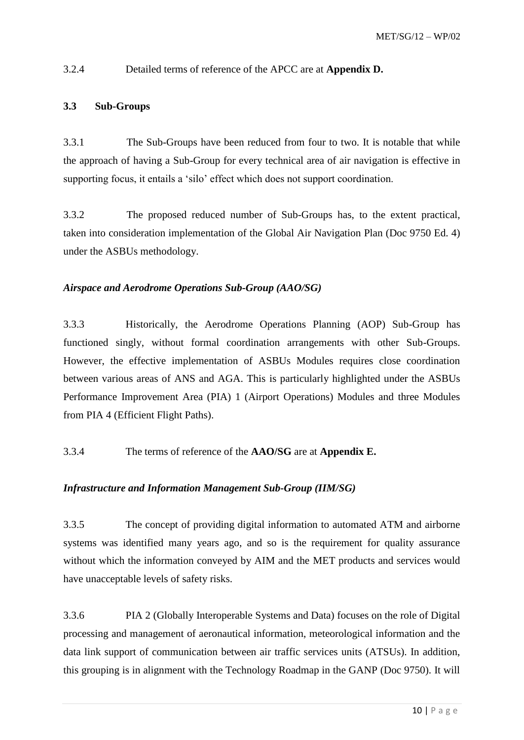## 3.2.4 Detailed terms of reference of the APCC are at **Appendix D.**

#### **3.3 Sub-Groups**

3.3.1 The Sub-Groups have been reduced from four to two. It is notable that while the approach of having a Sub-Group for every technical area of air navigation is effective in supporting focus, it entails a 'silo' effect which does not support coordination.

3.3.2 The proposed reduced number of Sub-Groups has, to the extent practical, taken into consideration implementation of the Global Air Navigation Plan (Doc 9750 Ed. 4) under the ASBUs methodology.

## *Airspace and Aerodrome Operations Sub-Group (AAO/SG)*

3.3.3 Historically, the Aerodrome Operations Planning (AOP) Sub-Group has functioned singly, without formal coordination arrangements with other Sub-Groups. However, the effective implementation of ASBUs Modules requires close coordination between various areas of ANS and AGA. This is particularly highlighted under the ASBUs Performance Improvement Area (PIA) 1 (Airport Operations) Modules and three Modules from PIA 4 (Efficient Flight Paths).

#### 3.3.4 The terms of reference of the **AAO/SG** are at **Appendix E.**

#### *Infrastructure and Information Management Sub-Group (IIM/SG)*

3.3.5 The concept of providing digital information to automated ATM and airborne systems was identified many years ago, and so is the requirement for quality assurance without which the information conveyed by AIM and the MET products and services would have unacceptable levels of safety risks.

3.3.6 PIA 2 (Globally Interoperable Systems and Data) focuses on the role of Digital processing and management of aeronautical information, meteorological information and the data link support of communication between air traffic services units (ATSUs). In addition, this grouping is in alignment with the Technology Roadmap in the GANP (Doc 9750). It will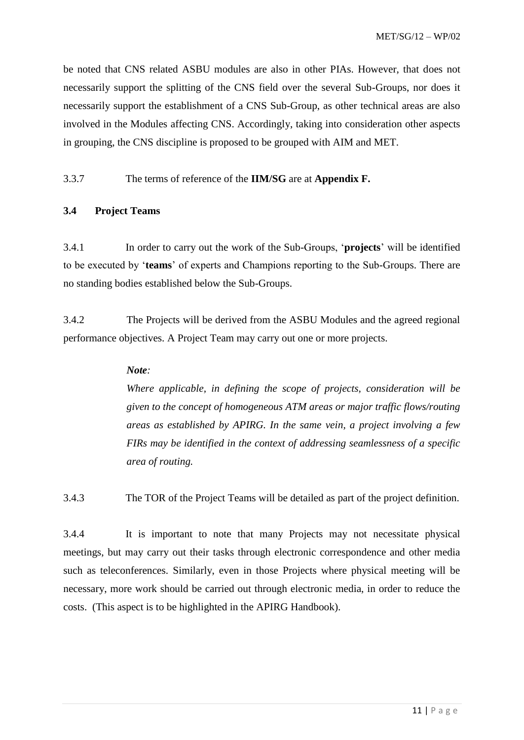be noted that CNS related ASBU modules are also in other PIAs. However, that does not necessarily support the splitting of the CNS field over the several Sub-Groups, nor does it necessarily support the establishment of a CNS Sub-Group, as other technical areas are also involved in the Modules affecting CNS. Accordingly, taking into consideration other aspects in grouping, the CNS discipline is proposed to be grouped with AIM and MET.

#### 3.3.7 The terms of reference of the **IIM/SG** are at **Appendix F.**

#### **3.4 Project Teams**

3.4.1 In order to carry out the work of the Sub-Groups, '**projects**' will be identified to be executed by '**teams**' of experts and Champions reporting to the Sub-Groups. There are no standing bodies established below the Sub-Groups.

3.4.2 The Projects will be derived from the ASBU Modules and the agreed regional performance objectives. A Project Team may carry out one or more projects.

#### *Note:*

*Where applicable, in defining the scope of projects, consideration will be given to the concept of homogeneous ATM areas or major traffic flows/routing areas as established by APIRG. In the same vein, a project involving a few FIRs may be identified in the context of addressing seamlessness of a specific area of routing.*

3.4.3 The TOR of the Project Teams will be detailed as part of the project definition.

3.4.4 It is important to note that many Projects may not necessitate physical meetings, but may carry out their tasks through electronic correspondence and other media such as teleconferences. Similarly, even in those Projects where physical meeting will be necessary, more work should be carried out through electronic media, in order to reduce the costs. (This aspect is to be highlighted in the APIRG Handbook).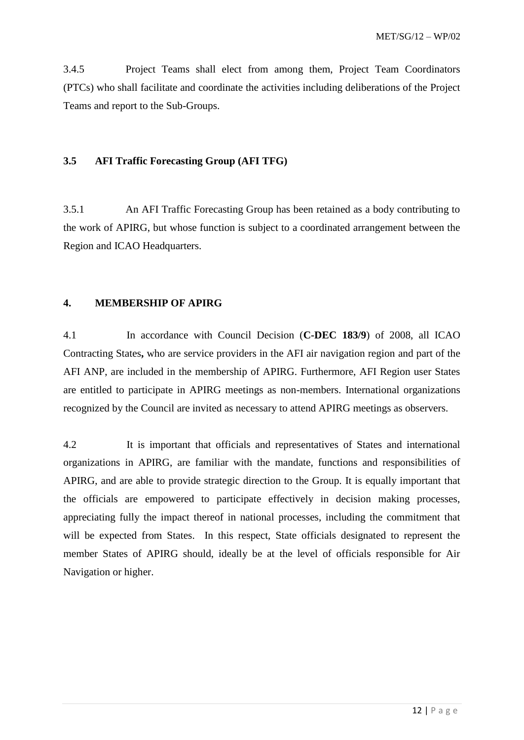3.4.5 Project Teams shall elect from among them, Project Team Coordinators (PTCs) who shall facilitate and coordinate the activities including deliberations of the Project Teams and report to the Sub-Groups.

#### **3.5 AFI Traffic Forecasting Group (AFI TFG)**

3.5.1 An AFI Traffic Forecasting Group has been retained as a body contributing to the work of APIRG, but whose function is subject to a coordinated arrangement between the Region and ICAO Headquarters.

#### <span id="page-11-0"></span>**4. MEMBERSHIP OF APIRG**

4.1 In accordance with Council Decision (**C-DEC 183/9**) of 2008, all ICAO Contracting States**,** who are service providers in the AFI air navigation region and part of the AFI ANP, are included in the membership of APIRG. Furthermore, AFI Region user States are entitled to participate in APIRG meetings as non-members. International organizations recognized by the Council are invited as necessary to attend APIRG meetings as observers.

4.2 It is important that officials and representatives of States and international organizations in APIRG, are familiar with the mandate, functions and responsibilities of APIRG, and are able to provide strategic direction to the Group. It is equally important that the officials are empowered to participate effectively in decision making processes, appreciating fully the impact thereof in national processes, including the commitment that will be expected from States. In this respect, State officials designated to represent the member States of APIRG should, ideally be at the level of officials responsible for Air Navigation or higher.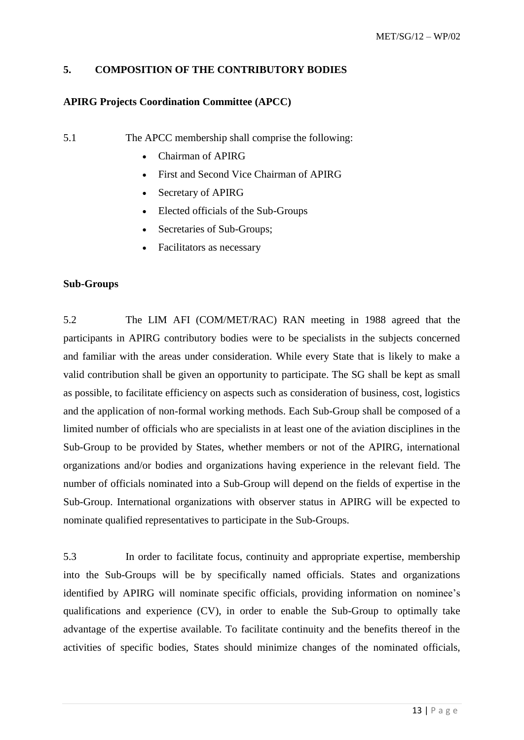#### <span id="page-12-0"></span>**5. COMPOSITION OF THE CONTRIBUTORY BODIES**

#### **APIRG Projects Coordination Committee (APCC)**

5.1 The APCC membership shall comprise the following:

- Chairman of APIRG
- First and Second Vice Chairman of APIRG
- Secretary of APIRG
- Elected officials of the Sub-Groups
- Secretaries of Sub-Groups;
- Facilitators as necessary

#### **Sub-Groups**

5.2 The LIM AFI (COM/MET/RAC) RAN meeting in 1988 agreed that the participants in APIRG contributory bodies were to be specialists in the subjects concerned and familiar with the areas under consideration. While every State that is likely to make a valid contribution shall be given an opportunity to participate. The SG shall be kept as small as possible, to facilitate efficiency on aspects such as consideration of business, cost, logistics and the application of non-formal working methods. Each Sub-Group shall be composed of a limited number of officials who are specialists in at least one of the aviation disciplines in the Sub-Group to be provided by States, whether members or not of the APIRG, international organizations and/or bodies and organizations having experience in the relevant field. The number of officials nominated into a Sub-Group will depend on the fields of expertise in the Sub-Group. International organizations with observer status in APIRG will be expected to nominate qualified representatives to participate in the Sub-Groups.

5.3 In order to facilitate focus, continuity and appropriate expertise, membership into the Sub-Groups will be by specifically named officials. States and organizations identified by APIRG will nominate specific officials, providing information on nominee's qualifications and experience (CV), in order to enable the Sub-Group to optimally take advantage of the expertise available. To facilitate continuity and the benefits thereof in the activities of specific bodies, States should minimize changes of the nominated officials,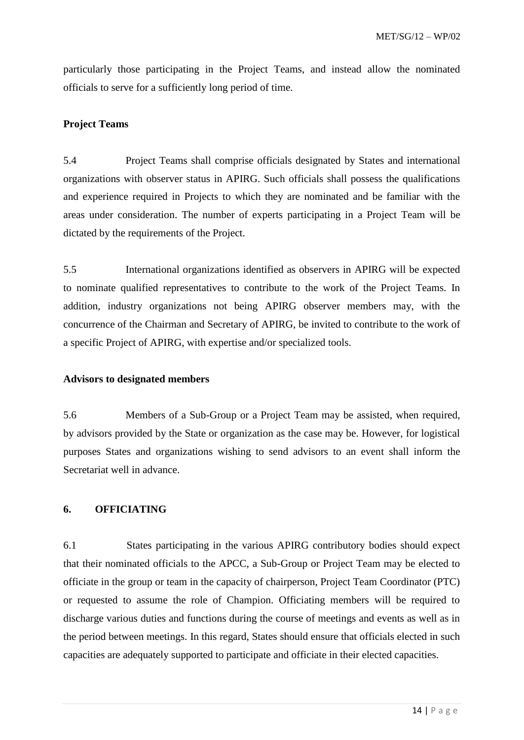particularly those participating in the Project Teams, and instead allow the nominated officials to serve for a sufficiently long period of time.

#### **Project Teams**

5.4 Project Teams shall comprise officials designated by States and international organizations with observer status in APIRG. Such officials shall possess the qualifications and experience required in Projects to which they are nominated and be familiar with the areas under consideration. The number of experts participating in a Project Team will be dictated by the requirements of the Project.

5.5 International organizations identified as observers in APIRG will be expected to nominate qualified representatives to contribute to the work of the Project Teams. In addition, industry organizations not being APIRG observer members may, with the concurrence of the Chairman and Secretary of APIRG, be invited to contribute to the work of a specific Project of APIRG, with expertise and/or specialized tools.

#### **Advisors to designated members**

5.6 Members of a Sub-Group or a Project Team may be assisted, when required, by advisors provided by the State or organization as the case may be. However, for logistical purposes States and organizations wishing to send advisors to an event shall inform the Secretariat well in advance.

### <span id="page-13-0"></span>**6. OFFICIATING**

6.1 States participating in the various APIRG contributory bodies should expect that their nominated officials to the APCC, a Sub-Group or Project Team may be elected to officiate in the group or team in the capacity of chairperson, Project Team Coordinator (PTC) or requested to assume the role of Champion. Officiating members will be required to discharge various duties and functions during the course of meetings and events as well as in the period between meetings. In this regard, States should ensure that officials elected in such capacities are adequately supported to participate and officiate in their elected capacities.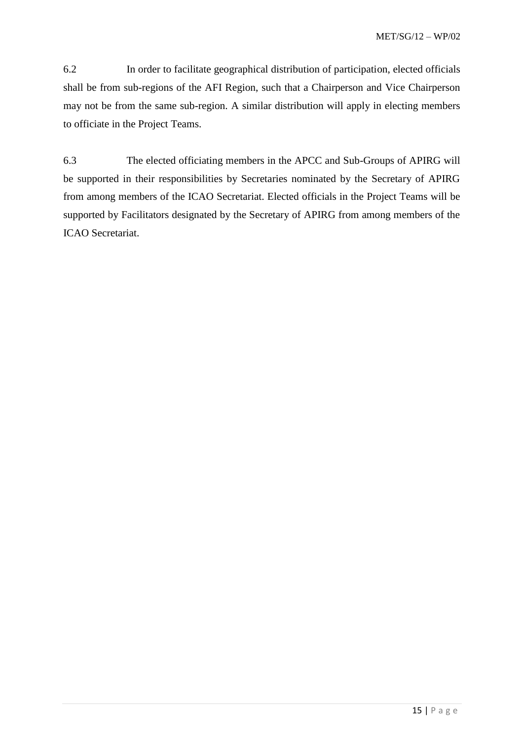6.2 In order to facilitate geographical distribution of participation, elected officials shall be from sub-regions of the AFI Region, such that a Chairperson and Vice Chairperson may not be from the same sub-region. A similar distribution will apply in electing members to officiate in the Project Teams.

6.3 The elected officiating members in the APCC and Sub-Groups of APIRG will be supported in their responsibilities by Secretaries nominated by the Secretary of APIRG from among members of the ICAO Secretariat. Elected officials in the Project Teams will be supported by Facilitators designated by the Secretary of APIRG from among members of the ICAO Secretariat.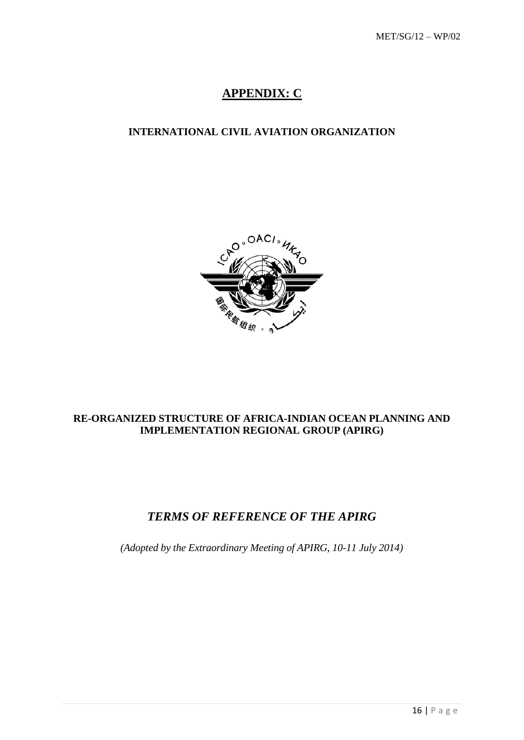## <sup>U</sup>**APPENDIX: C**

## **INTERNATIONAL CIVIL AVIATION ORGANIZATION**



## **RE-ORGANIZED STRUCTURE OF AFRICA-INDIAN OCEAN PLANNING AND IMPLEMENTATION REGIONAL GROUP (APIRG)**

# *TERMS OF REFERENCE OF THE APIRG*

*(Adopted by the Extraordinary Meeting of APIRG, 10-11 July 2014)*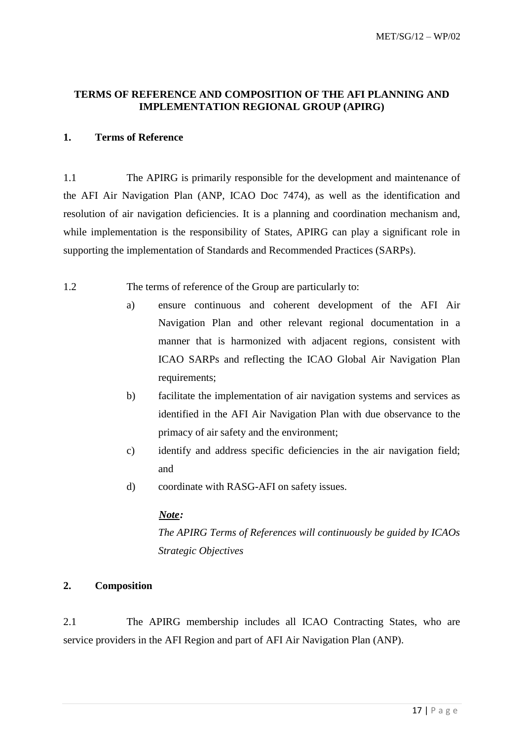## **TERMS OF REFERENCE AND COMPOSITION OF THE AFI PLANNING AND IMPLEMENTATION REGIONAL GROUP (APIRG)**

#### **1. Terms of Reference**

1.1 The APIRG is primarily responsible for the development and maintenance of the AFI Air Navigation Plan (ANP, ICAO Doc 7474), as well as the identification and resolution of air navigation deficiencies. It is a planning and coordination mechanism and, while implementation is the responsibility of States, APIRG can play a significant role in supporting the implementation of Standards and Recommended Practices (SARPs).

1.2 The terms of reference of the Group are particularly to:

- a) ensure continuous and coherent development of the AFI Air Navigation Plan and other relevant regional documentation in a manner that is harmonized with adjacent regions, consistent with ICAO SARPs and reflecting the ICAO Global Air Navigation Plan requirements;
- b) facilitate the implementation of air navigation systems and services as identified in the AFI Air Navigation Plan with due observance to the primacy of air safety and the environment;
- c) identify and address specific deficiencies in the air navigation field; and
- d) coordinate with RASG-AFI on safety issues.

## $Note:$

*The APIRG Terms of References will continuously be guided by ICAOs Strategic Objectives*

## **2. Composition**

2.1 The APIRG membership includes all ICAO Contracting States, who are service providers in the AFI Region and part of AFI Air Navigation Plan (ANP).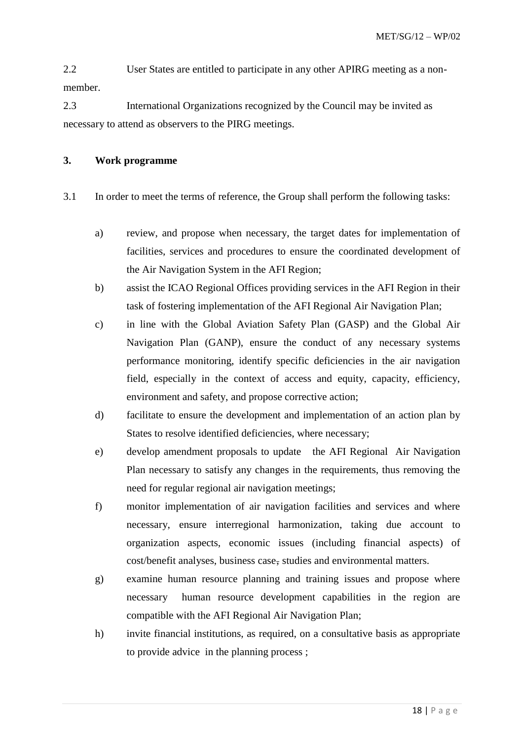2.2 User States are entitled to participate in any other APIRG meeting as a nonmember.

2.3 International Organizations recognized by the Council may be invited as necessary to attend as observers to the PIRG meetings.

#### **3. Work programme**

3.1 In order to meet the terms of reference, the Group shall perform the following tasks:

- a) review, and propose when necessary, the target dates for implementation of facilities, services and procedures to ensure the coordinated development of the Air Navigation System in the AFI Region;
- b) assist the ICAO Regional Offices providing services in the AFI Region in their task of fostering implementation of the AFI Regional Air Navigation Plan;
- c) in line with the Global Aviation Safety Plan (GASP) and the Global Air Navigation Plan (GANP), ensure the conduct of any necessary systems performance monitoring, identify specific deficiencies in the air navigation field, especially in the context of access and equity, capacity, efficiency, environment and safety, and propose corrective action;
- d) facilitate to ensure the development and implementation of an action plan by States to resolve identified deficiencies, where necessary;
- e) develop amendment proposals to update the AFI Regional Air Navigation Plan necessary to satisfy any changes in the requirements, thus removing the need for regular regional air navigation meetings;
- f) monitor implementation of air navigation facilities and services and where necessary, ensure interregional harmonization, taking due account to organization aspects, economic issues (including financial aspects) of cost/benefit analyses, business case, studies and environmental matters.
- g) examine human resource planning and training issues and propose where necessary human resource development capabilities in the region are compatible with the AFI Regional Air Navigation Plan;
- h) invite financial institutions, as required, on a consultative basis as appropriate to provide advice in the planning process ;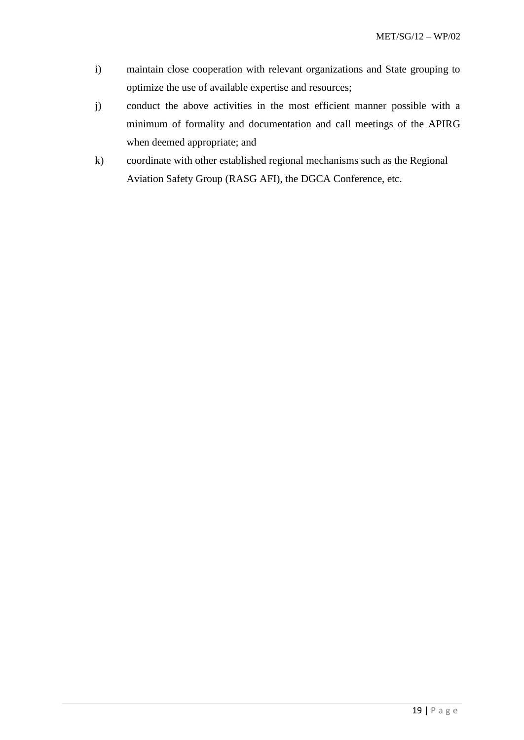- i) maintain close cooperation with relevant organizations and State grouping to optimize the use of available expertise and resources;
- j) conduct the above activities in the most efficient manner possible with a minimum of formality and documentation and call meetings of the APIRG when deemed appropriate; and
- k) coordinate with other established regional mechanisms such as the Regional Aviation Safety Group (RASG AFI), the DGCA Conference, etc.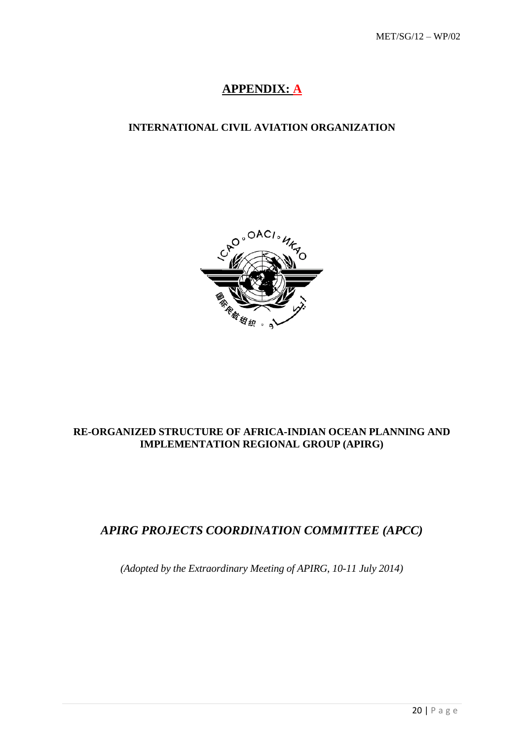## **APPENDIX: A**

## **INTERNATIONAL CIVIL AVIATION ORGANIZATION**



## **RE-ORGANIZED STRUCTURE OF AFRICA-INDIAN OCEAN PLANNING AND IMPLEMENTATION REGIONAL GROUP (APIRG)**

## *APIRG PROJECTS COORDINATION COMMITTEE (APCC)*

*(Adopted by the Extraordinary Meeting of APIRG, 10-11 July 2014)*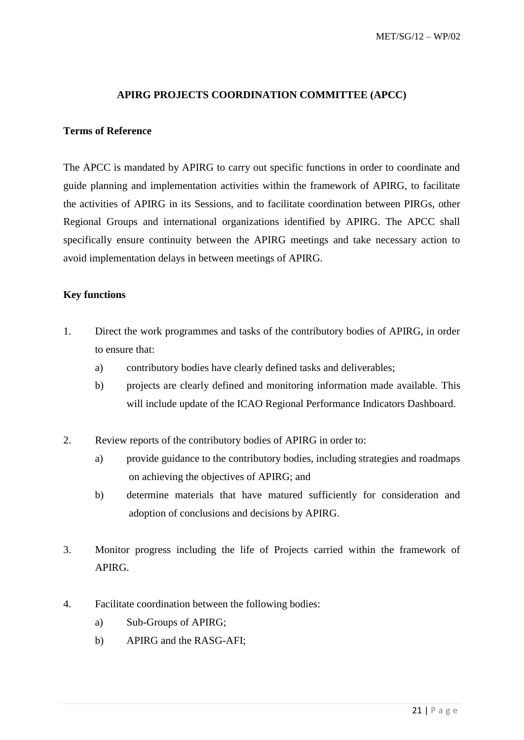#### **APIRG PROJECTS COORDINATION COMMITTEE (APCC)**

#### **Terms of Reference**

The APCC is mandated by APIRG to carry out specific functions in order to coordinate and guide planning and implementation activities within the framework of APIRG, to facilitate the activities of APIRG in its Sessions, and to facilitate coordination between PIRGs, other Regional Groups and international organizations identified by APIRG. The APCC shall specifically ensure continuity between the APIRG meetings and take necessary action to avoid implementation delays in between meetings of APIRG.

### **Key functions**

- 1. Direct the work programmes and tasks of the contributory bodies of APIRG, in order to ensure that:
	- a) contributory bodies have clearly defined tasks and deliverables;
	- b) projects are clearly defined and monitoring information made available. This will include update of the ICAO Regional Performance Indicators Dashboard.
- 2. Review reports of the contributory bodies of APIRG in order to:
	- a) provide guidance to the contributory bodies, including strategies and roadmaps on achieving the objectives of APIRG; and
	- b) determine materials that have matured sufficiently for consideration and adoption of conclusions and decisions by APIRG.
- 3. Monitor progress including the life of Projects carried within the framework of APIRG.
- 4. Facilitate coordination between the following bodies:
	- a) Sub-Groups of APIRG;
	- b) APIRG and the RASG-AFI;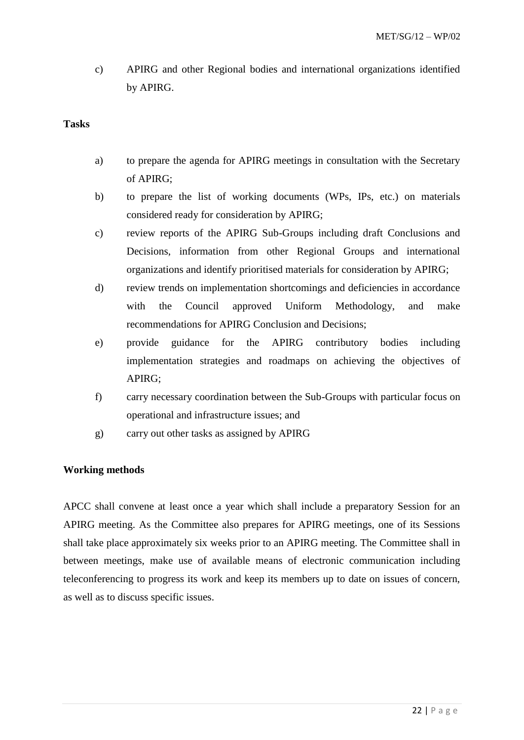c) APIRG and other Regional bodies and international organizations identified by APIRG.

#### **Tasks**

- a) to prepare the agenda for APIRG meetings in consultation with the Secretary of APIRG;
- b) to prepare the list of working documents (WPs, IPs, etc.) on materials considered ready for consideration by APIRG;
- c) review reports of the APIRG Sub-Groups including draft Conclusions and Decisions, information from other Regional Groups and international organizations and identify prioritised materials for consideration by APIRG;
- d) review trends on implementation shortcomings and deficiencies in accordance with the Council approved Uniform Methodology, and make recommendations for APIRG Conclusion and Decisions;
- e) provide guidance for the APIRG contributory bodies including implementation strategies and roadmaps on achieving the objectives of APIRG;
- f) carry necessary coordination between the Sub-Groups with particular focus on operational and infrastructure issues; and
- g) carry out other tasks as assigned by APIRG

## **Working methods**

APCC shall convene at least once a year which shall include a preparatory Session for an APIRG meeting. As the Committee also prepares for APIRG meetings, one of its Sessions shall take place approximately six weeks prior to an APIRG meeting. The Committee shall in between meetings, make use of available means of electronic communication including teleconferencing to progress its work and keep its members up to date on issues of concern, as well as to discuss specific issues.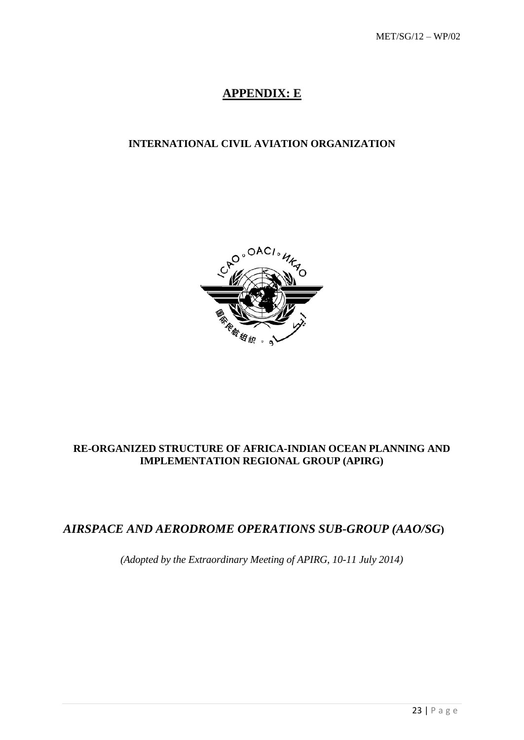## <sup>U</sup>**APPENDIX: E**

### **INTERNATIONAL CIVIL AVIATION ORGANIZATION**



## **RE-ORGANIZED STRUCTURE OF AFRICA-INDIAN OCEAN PLANNING AND IMPLEMENTATION REGIONAL GROUP (APIRG)**

## *AIRSPACE AND AERODROME OPERATIONS SUB-GROUP (AAO/SG***)**

*(Adopted by the Extraordinary Meeting of APIRG, 10-11 July 2014)*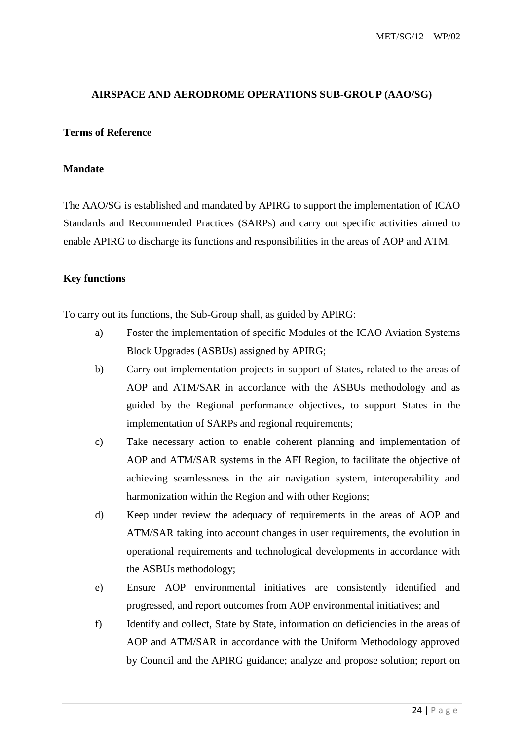#### **AIRSPACE AND AERODROME OPERATIONS SUB-GROUP (AAO/SG)**

#### **Terms of Reference**

#### **Mandate**

The AAO/SG is established and mandated by APIRG to support the implementation of ICAO Standards and Recommended Practices (SARPs) and carry out specific activities aimed to enable APIRG to discharge its functions and responsibilities in the areas of AOP and ATM.

#### **Key functions**

To carry out its functions, the Sub-Group shall, as guided by APIRG:

- a) Foster the implementation of specific Modules of the ICAO Aviation Systems Block Upgrades (ASBUs) assigned by APIRG;
- b) Carry out implementation projects in support of States, related to the areas of AOP and ATM/SAR in accordance with the ASBUs methodology and as guided by the Regional performance objectives, to support States in the implementation of SARPs and regional requirements;
- c) Take necessary action to enable coherent planning and implementation of AOP and ATM/SAR systems in the AFI Region, to facilitate the objective of achieving seamlessness in the air navigation system, interoperability and harmonization within the Region and with other Regions;
- d) Keep under review the adequacy of requirements in the areas of AOP and ATM/SAR taking into account changes in user requirements, the evolution in operational requirements and technological developments in accordance with the ASBUs methodology;
- e) Ensure AOP environmental initiatives are consistently identified and progressed, and report outcomes from AOP environmental initiatives; and
- f) Identify and collect, State by State, information on deficiencies in the areas of AOP and ATM/SAR in accordance with the Uniform Methodology approved by Council and the APIRG guidance; analyze and propose solution; report on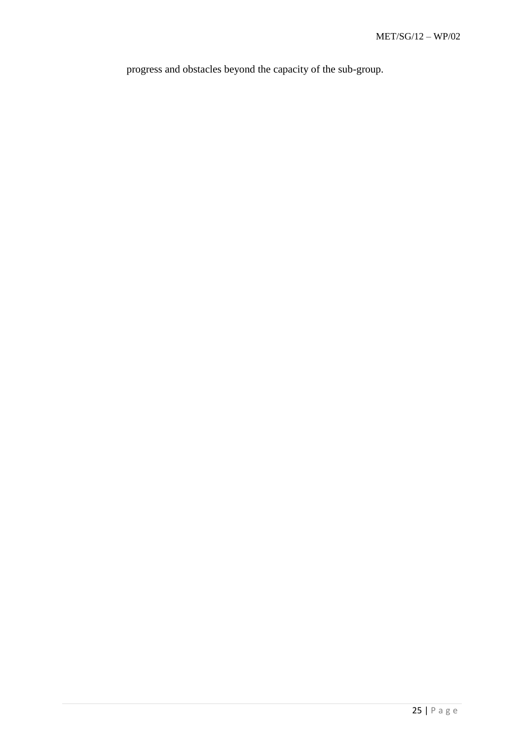progress and obstacles beyond the capacity of the sub-group.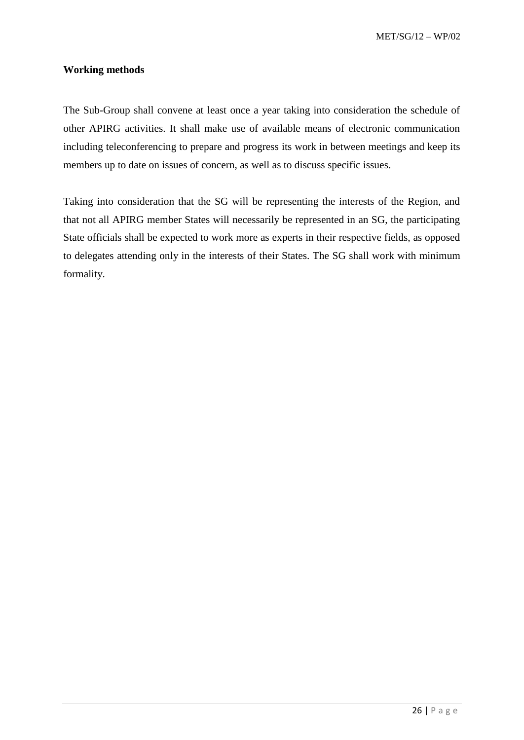MET/SG/12 – WP/02

#### **Working methods**

The Sub-Group shall convene at least once a year taking into consideration the schedule of other APIRG activities. It shall make use of available means of electronic communication including teleconferencing to prepare and progress its work in between meetings and keep its members up to date on issues of concern, as well as to discuss specific issues.

Taking into consideration that the SG will be representing the interests of the Region, and that not all APIRG member States will necessarily be represented in an SG, the participating State officials shall be expected to work more as experts in their respective fields, as opposed to delegates attending only in the interests of their States. The SG shall work with minimum formality.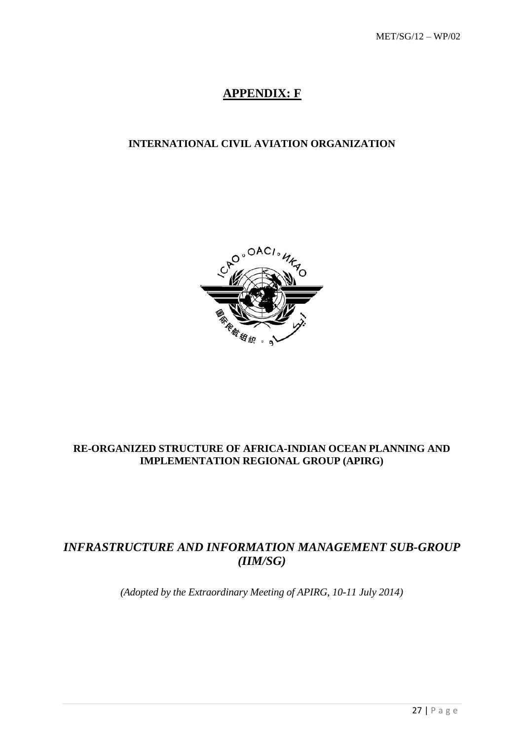## <sup>U</sup>**APPENDIX: F**

## **INTERNATIONAL CIVIL AVIATION ORGANIZATION**



## **RE-ORGANIZED STRUCTURE OF AFRICA-INDIAN OCEAN PLANNING AND IMPLEMENTATION REGIONAL GROUP (APIRG)**

# *INFRASTRUCTURE AND INFORMATION MANAGEMENT SUB-GROUP (IIM/SG)*

*(Adopted by the Extraordinary Meeting of APIRG, 10-11 July 2014)*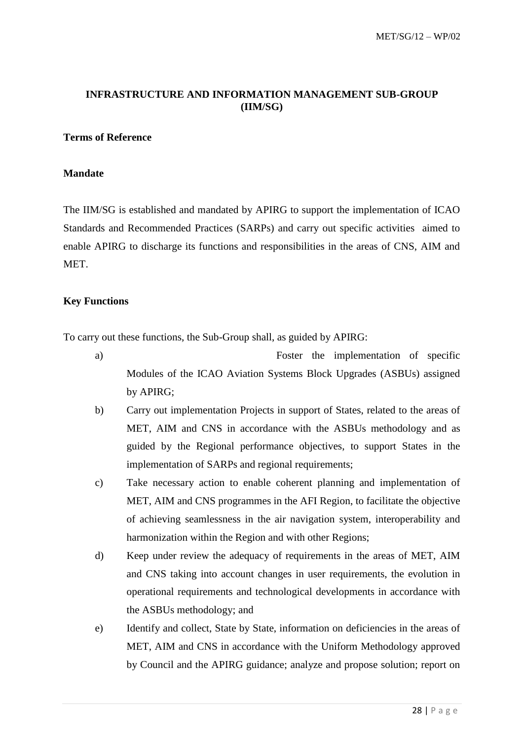### **INFRASTRUCTURE AND INFORMATION MANAGEMENT SUB-GROUP (IIM/SG)**

#### **Terms of Reference**

#### **Mandate**

The IIM/SG is established and mandated by APIRG to support the implementation of ICAO Standards and Recommended Practices (SARPs) and carry out specific activities aimed to enable APIRG to discharge its functions and responsibilities in the areas of CNS, AIM and MET.

#### **Key Functions**

To carry out these functions, the Sub-Group shall, as guided by APIRG:

- a) Foster the implementation of specific Modules of the ICAO Aviation Systems Block Upgrades (ASBUs) assigned by APIRG;
- b) Carry out implementation Projects in support of States, related to the areas of MET, AIM and CNS in accordance with the ASBUs methodology and as guided by the Regional performance objectives, to support States in the implementation of SARPs and regional requirements;
- c) Take necessary action to enable coherent planning and implementation of MET, AIM and CNS programmes in the AFI Region, to facilitate the objective of achieving seamlessness in the air navigation system, interoperability and harmonization within the Region and with other Regions;
- d) Keep under review the adequacy of requirements in the areas of MET, AIM and CNS taking into account changes in user requirements, the evolution in operational requirements and technological developments in accordance with the ASBUs methodology; and
- e) Identify and collect, State by State, information on deficiencies in the areas of MET, AIM and CNS in accordance with the Uniform Methodology approved by Council and the APIRG guidance; analyze and propose solution; report on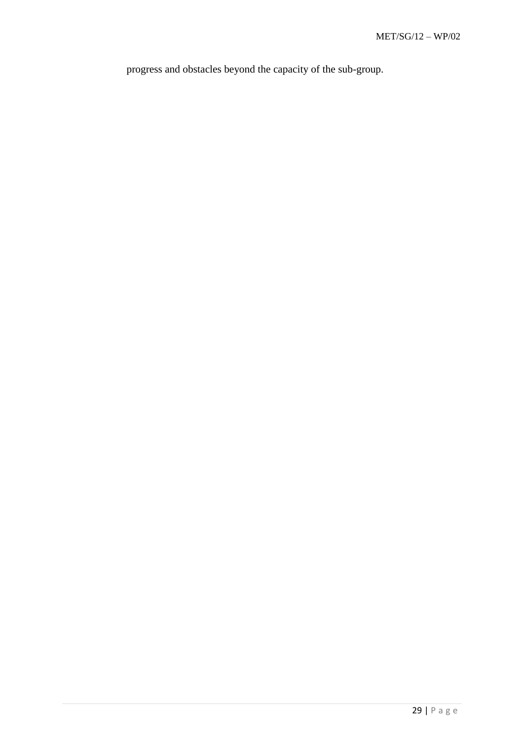progress and obstacles beyond the capacity of the sub-group.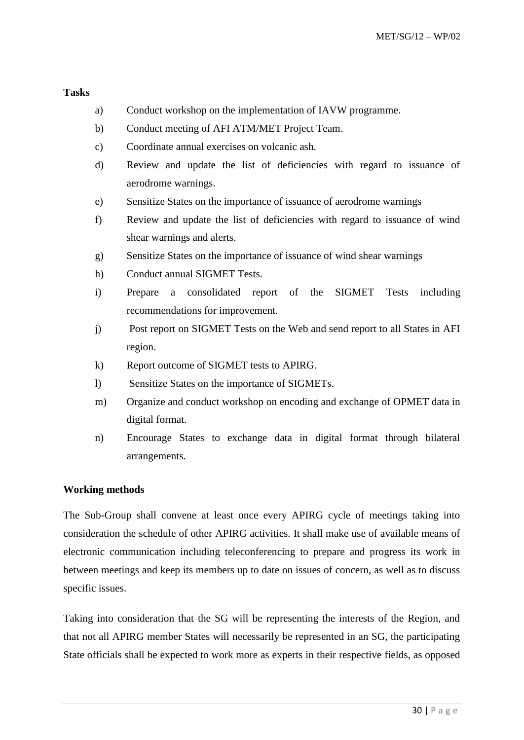#### **Tasks**

- a) Conduct workshop on the implementation of IAVW programme.
- b) Conduct meeting of AFI ATM/MET Project Team.
- c) Coordinate annual exercises on volcanic ash.
- d) Review and update the list of deficiencies with regard to issuance of aerodrome warnings.
- e) Sensitize States on the importance of issuance of aerodrome warnings
- f) Review and update the list of deficiencies with regard to issuance of wind shear warnings and alerts.
- g) Sensitize States on the importance of issuance of wind shear warnings
- h) Conduct annual SIGMET Tests.
- i) Prepare a consolidated report of the SIGMET Tests including recommendations for improvement.
- j) Post report on SIGMET Tests on the Web and send report to all States in AFI region.
- k) Report outcome of SIGMET tests to APIRG.
- l) Sensitize States on the importance of SIGMETs.
- m) Organize and conduct workshop on encoding and exchange of OPMET data in digital format.
- n) Encourage States to exchange data in digital format through bilateral arrangements.

#### **Working methods**

The Sub-Group shall convene at least once every APIRG cycle of meetings taking into consideration the schedule of other APIRG activities. It shall make use of available means of electronic communication including teleconferencing to prepare and progress its work in between meetings and keep its members up to date on issues of concern, as well as to discuss specific issues.

Taking into consideration that the SG will be representing the interests of the Region, and that not all APIRG member States will necessarily be represented in an SG, the participating State officials shall be expected to work more as experts in their respective fields, as opposed